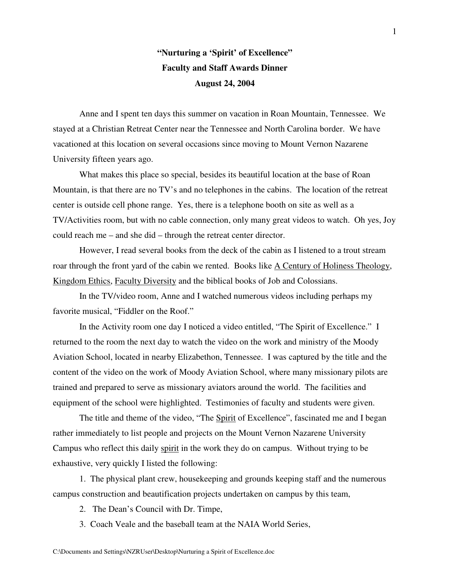## **"Nurturing a 'Spirit' of Excellence" Faculty and Staff Awards Dinner August 24, 2004**

Anne and I spent ten days this summer on vacation in Roan Mountain, Tennessee. We stayed at a Christian Retreat Center near the Tennessee and North Carolina border. We have vacationed at this location on several occasions since moving to Mount Vernon Nazarene University fifteen years ago.

What makes this place so special, besides its beautiful location at the base of Roan Mountain, is that there are no TV's and no telephones in the cabins. The location of the retreat center is outside cell phone range. Yes, there is a telephone booth on site as well as a TV/Activities room, but with no cable connection, only many great videos to watch. Oh yes, Joy could reach me – and she did – through the retreat center director.

However, I read several books from the deck of the cabin as I listened to a trout stream roar through the front yard of the cabin we rented. Books like A Century of Holiness Theology, Kingdom Ethics, Faculty Diversity and the biblical books of Job and Colossians.

In the TV/video room, Anne and I watched numerous videos including perhaps my favorite musical, "Fiddler on the Roof."

In the Activity room one day I noticed a video entitled, "The Spirit of Excellence." I returned to the room the next day to watch the video on the work and ministry of the Moody Aviation School, located in nearby Elizabethon, Tennessee. I was captured by the title and the content of the video on the work of Moody Aviation School, where many missionary pilots are trained and prepared to serve as missionary aviators around the world. The facilities and equipment of the school were highlighted. Testimonies of faculty and students were given.

The title and theme of the video, "The Spirit of Excellence", fascinated me and I began rather immediately to list people and projects on the Mount Vernon Nazarene University Campus who reflect this daily spirit in the work they do on campus. Without trying to be exhaustive, very quickly I listed the following:

1. The physical plant crew, housekeeping and grounds keeping staff and the numerous campus construction and beautification projects undertaken on campus by this team,

2. The Dean's Council with Dr. Timpe,

3. Coach Veale and the baseball team at the NAIA World Series,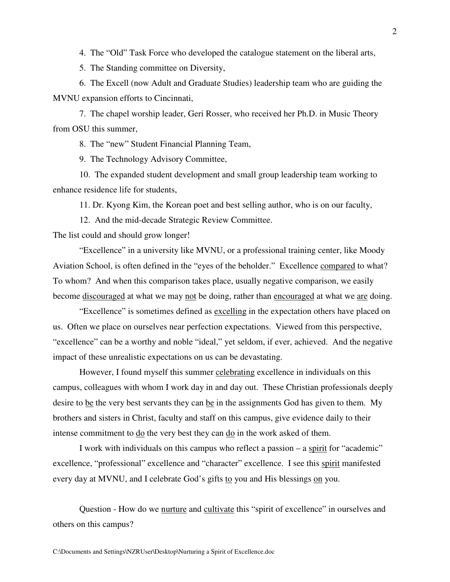4. The "Old" Task Force who developed the catalogue statement on the liberal arts,

5. The Standing committee on Diversity,

6. The Excell (now Adult and Graduate Studies) leadership team who are guiding the MVNU expansion efforts to Cincinnati,

7. The chapel worship leader, Geri Rosser, who received her Ph.D. in Music Theory from OSU this summer,

8. The "new" Student Financial Planning Team,

9. The Technology Advisory Committee,

10. The expanded student development and small group leadership team working to enhance residence life for students,

11. Dr. Kyong Kim, the Korean poet and best selling author, who is on our faculty,

12. And the mid-decade Strategic Review Committee.

The list could and should grow longer!

"Excellence" in a university like MVNU, or a professional training center, like Moody Aviation School, is often defined in the "eyes of the beholder." Excellence compared to what? To whom? And when this comparison takes place, usually negative comparison, we easily become discouraged at what we may not be doing, rather than encouraged at what we are doing.

"Excellence" is sometimes defined as excelling in the expectation others have placed on us. Often we place on ourselves near perfection expectations. Viewed from this perspective, "excellence" can be a worthy and noble "ideal," yet seldom, if ever, achieved. And the negative impact of these unrealistic expectations on us can be devastating.

However, I found myself this summer celebrating excellence in individuals on this campus, colleagues with whom I work day in and day out. These Christian professionals deeply desire to be the very best servants they can be in the assignments God has given to them. My brothers and sisters in Christ, faculty and staff on this campus, give evidence daily to their intense commitment to <u>do</u> the very best they can <u>do</u> in the work asked of them.

I work with individuals on this campus who reflect a passion – a spirit for "academic" excellence, "professional" excellence and "character" excellence. I see this spirit manifested every day at MVNU, and I celebrate God's gifts to you and His blessings on you.

Question - How do we nurture and cultivate this "spirit of excellence" in ourselves and others on this campus?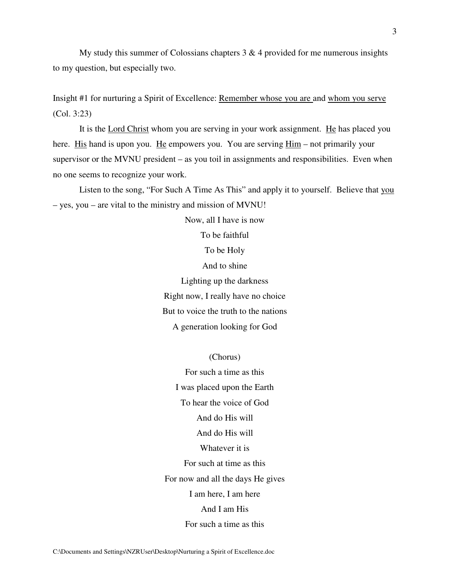My study this summer of Colossians chapters  $3 \& 4$  provided for me numerous insights to my question, but especially two.

Insight #1 for nurturing a Spirit of Excellence: Remember whose you are and whom you serve (Col. 3:23)

It is the Lord Christ whom you are serving in your work assignment. He has placed you here. His hand is upon you. He empowers you. You are serving  $\frac{Him}{m}$  – not primarily your supervisor or the MVNU president – as you toil in assignments and responsibilities. Even when no one seems to recognize your work.

Listen to the song, "For Such A Time As This" and apply it to yourself. Believe that you – yes, you – are vital to the ministry and mission of MVNU!

Now, all I have is now

To be faithful To be Holy And to shine

Lighting up the darkness Right now, I really have no choice But to voice the truth to the nations A generation looking for God

(Chorus)

For such a time as this I was placed upon the Earth To hear the voice of God And do His will And do His will Whatever it is For such at time as this For now and all the days He gives I am here, I am here And I am His For such a time as this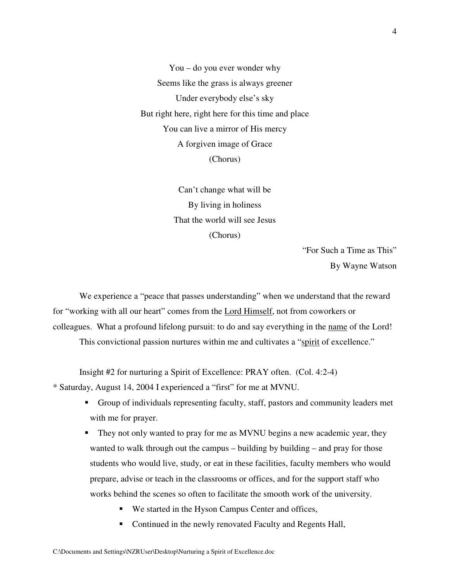You – do you ever wonder why Seems like the grass is always greener Under everybody else's sky But right here, right here for this time and place You can live a mirror of His mercy A forgiven image of Grace (Chorus)

> Can't change what will be By living in holiness That the world will see Jesus (Chorus)

> > "For Such a Time as This" By Wayne Watson

We experience a "peace that passes understanding" when we understand that the reward for "working with all our heart" comes from the Lord Himself, not from coworkers or colleagues. What a profound lifelong pursuit: to do and say everything in the name of the Lord!

This convictional passion nurtures within me and cultivates a "spirit of excellence."

Insight #2 for nurturing a Spirit of Excellence: PRAY often. (Col. 4:2-4)

\* Saturday, August 14, 2004 I experienced a "first" for me at MVNU.

- Group of individuals representing faculty, staff, pastors and community leaders met with me for prayer.
- They not only wanted to pray for me as MVNU begins a new academic year, they wanted to walk through out the campus – building by building – and pray for those students who would live, study, or eat in these facilities, faculty members who would prepare, advise or teach in the classrooms or offices, and for the support staff who works behind the scenes so often to facilitate the smooth work of the university.
	- We started in the Hyson Campus Center and offices,
	- Continued in the newly renovated Faculty and Regents Hall,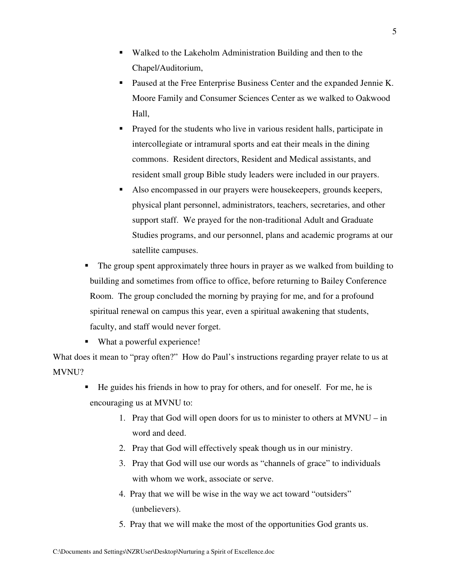- Walked to the Lakeholm Administration Building and then to the Chapel/Auditorium,
- Paused at the Free Enterprise Business Center and the expanded Jennie K. Moore Family and Consumer Sciences Center as we walked to Oakwood Hall,
- Prayed for the students who live in various resident halls, participate in intercollegiate or intramural sports and eat their meals in the dining commons. Resident directors, Resident and Medical assistants, and resident small group Bible study leaders were included in our prayers.
- Also encompassed in our prayers were housekeepers, grounds keepers, physical plant personnel, administrators, teachers, secretaries, and other support staff. We prayed for the non-traditional Adult and Graduate Studies programs, and our personnel, plans and academic programs at our satellite campuses.
- The group spent approximately three hours in prayer as we walked from building to building and sometimes from office to office, before returning to Bailey Conference Room. The group concluded the morning by praying for me, and for a profound spiritual renewal on campus this year, even a spiritual awakening that students, faculty, and staff would never forget.
- What a powerful experience!

What does it mean to "pray often?" How do Paul's instructions regarding prayer relate to us at MVNU?

- He guides his friends in how to pray for others, and for oneself. For me, he is encouraging us at MVNU to:
	- 1. Pray that God will open doors for us to minister to others at MVNU in word and deed.
	- 2. Pray that God will effectively speak though us in our ministry.
	- 3. Pray that God will use our words as "channels of grace" to individuals with whom we work, associate or serve.
	- 4. Pray that we will be wise in the way we act toward "outsiders" (unbelievers).
	- 5. Pray that we will make the most of the opportunities God grants us.